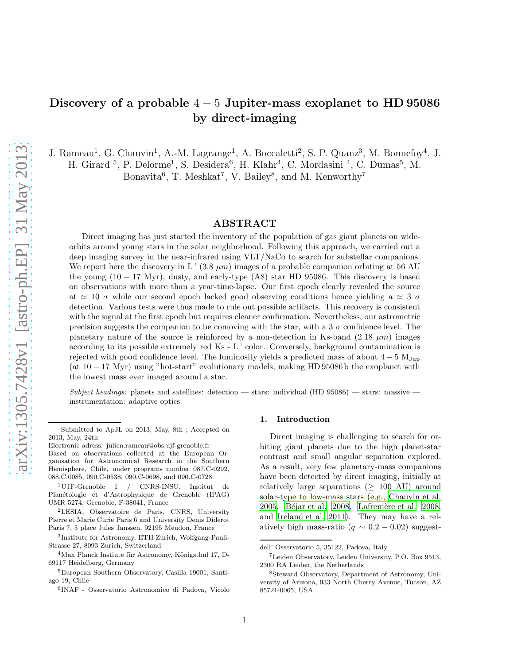# Discovery of a probable  $4-5$  Jupiter-mass exoplanet to HD 95086 by direct-imaging

J. Rameau<sup>1</sup>, G. Chauvin<sup>1</sup>, A.-M. Lagrange<sup>1</sup>, A. Boccaletti<sup>2</sup>, S. P. Quanz<sup>3</sup>, M. Bonnefoy<sup>4</sup>, J. H. Girard<sup>5</sup>, P. Delorme<sup>1</sup>, S. Desidera<sup>6</sup>, H. Klahr<sup>4</sup>, C. Mordasini<sup>4</sup>, C. Dumas<sup>5</sup>, M.

Bonavita<sup>6</sup>, T. Meshkat<sup>7</sup>, V. Bailey<sup>8</sup>, and M. Kenworthy<sup>7</sup>

# ABSTRACT

Direct imaging has just started the inventory of the population of gas giant planets on wideorbits around young stars in the solar neighborhood. Following this approach, we carried out a deep imaging survey in the near-infrared using VLT/NaCo to search for substellar companions. We report here the discovery in L'  $(3.8 \ \mu m)$  images of a probable companion orbiting at 56 AU the young  $(10 - 17 \text{ Myr})$ , dusty, and early-type  $(18)$  star HD 95086. This discovery is based on observations with more than a year-time-lapse. Our first epoch clearly revealed the source at  $\approx$  10  $\sigma$  while our second epoch lacked good observing conditions hence yielding a  $\approx$  3  $\sigma$ detection. Various tests were thus made to rule out possible artifacts. This recovery is consistent with the signal at the first epoch but requires cleaner confirmation. Nevertheless, our astrometric precision suggests the companion to be comoving with the star, with a 3  $\sigma$  confidence level. The planetary nature of the source is reinforced by a non-detection in Ks-band  $(2.18 \mu m)$  images according to its possible extremely red Ks - L' color. Conversely, background contamination is rejected with good confidence level. The luminosity yields a predicted mass of about  $4-5$  M<sub>Jup</sub> (at  $10-17$  Myr) using "hot-start" evolutionary models, making HD 95086 b the exoplanet with the lowest mass ever imaged around a star.

Subject headings: planets and satellites: detection — stars: individual (HD 95086) — stars: massive instrumentation: adaptive optics

## 1. Introduction

Direct imaging is challenging to search for orbiting giant planets due to the high planet-star contrast and small angular separation explored. As a result, very few planetary-mass companions have been detected by direct imaging, initially at relatively large separations ( $\geq 100$  AU) around solar-type to low-mass stars (e.g., [Chauvin et al.](#page-7-0) [2005,](#page-7-0) Béjar et al. 2008, Lafrenière et al. 2008, and [Ireland et al. 2011\)](#page-7-2). They may have a relatively high mass-ratio ( $q \sim 0.2 - 0.02$ ) suggest-

Submitted to ApJL on 2013, May, 8th ; Accepted on 2013, May, 24th

Electronic adress: julien.rameau@obs.ujf-grenoble.fr

Based on observations collected at the European Organisation for Astronomical Research in the Southern Hemisphere, Chile, under programs number 087.C-0292, 088.C.0085, 090.C-0538, 090.C-0698, and 090.C-0728.

<sup>1</sup>UJF-Grenoble 1 / CNRS-INSU, Institut de Planétologie et d'Astrophysique de Grenoble (IPAG) UMR 5274, Grenoble, F-38041, France

<sup>2</sup>LESIA, Observatoire de Paris, CNRS, University Pierre et Marie Curie Paris 6 and University Denis Diderot Paris 7, 5 place Jules Janssen, 92195 Meudon, France

<sup>3</sup> Institute for Astronomy, ETH Zurich, Wolfgang-Pauli-Strasse 27, 8093 Zurich, Switzerland

 $4$ Max Planck Instiute für Astronomy, Königsthul 17, D-69117 Heidelberg, Germany

<sup>5</sup>European Southern Observatory, Casilla 19001, Santiago 19, Chile

<sup>6</sup> INAF - Osservatorio Astronomico di Padova, Vicolo

dell' Osservatorio 5, 35122, Padova, Italy

<sup>7</sup>Leiden Observatory, Leiden University, P.O. Box 9513, 2300 RA Leiden, the Netherlands

<sup>8</sup>Steward Observatory, Department of Astronomy, University of Arizona, 933 North Cherry Avenue, Tucson, AZ 85721-0065, USA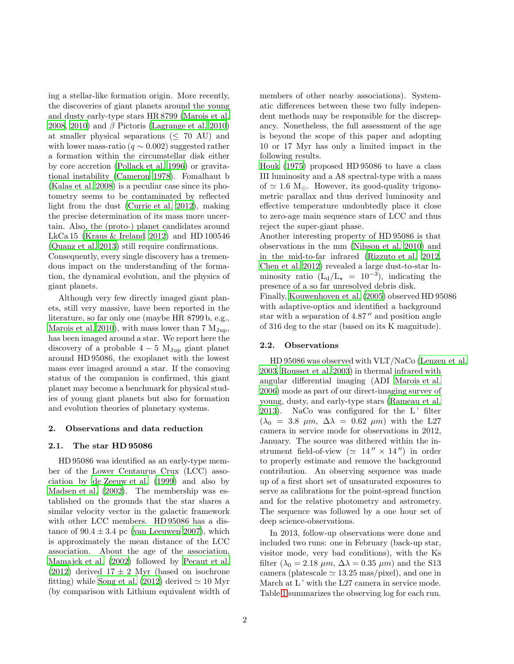ing a stellar-like formation origin. More recently, the discoveries of giant planets around the young and dusty early-type stars HR 8799 [\(Marois et al.](#page-8-1) [2008,](#page-8-1) [2010\)](#page-8-2) and  $\beta$  Pictoris [\(Lagrange et al. 2010\)](#page-8-3) at smaller physical separations ( $\leq 70$  AU) and with lower mass-ratio ( $q \sim 0.002$ ) suggested rather a formation within the circumstellar disk either by core accretion [\(Pollack et al. 1996\)](#page-8-4) or gravitational instability [\(Cameron 1978\)](#page-7-3). Fomalhaut b [\(Kalas et al. 2008](#page-7-4)) is a peculiar case since its photometry seems to be contaminated by reflected light from the dust [\(Currie et al. 2012](#page-7-5)), making the precise determination of its mass more uncertain. Also, the (proto-) planet candidates around LkCa 15 (Kraus  $&$  Ireland 2012) and HD 100546 [\(Quanz et al. 2013\)](#page-8-6) still require confirmations.

Consequently, every single discovery has a tremendous impact on the understanding of the formation, the dynamical evolution, and the physics of giant planets.

Although very few directly imaged giant planets, still very massive, have been reported in the literature, so far only one (maybe HR 8799 b, e.g., [Marois et al. 2010\)](#page-8-2), with mass lower than  $7 M_{\text{Jup}}$ , has been imaged around a star. We report here the discovery of a probable  $4-5$  M<sub>Jup</sub> giant planet around HD 95086, the exoplanet with the lowest mass ever imaged around a star. If the comoving status of the companion is confirmed, this giant planet may become a benchmark for physical studies of young giant planets but also for formation and evolution theories of planetary systems.

# 2. Observations and data reduction

## 2.1. The star HD 95086

HD 95086 was identified as an early-type member of the Lower Centaurus Crux (LCC) association by [de Zeeuw et al. \(1999\)](#page-7-6) and also by [Madsen et al. \(2002\)](#page-8-7). The membership was established on the grounds that the star shares a similar velocity vector in the galactic framework with other LCC members. HD 95086 has a distance of  $90.4 \pm 3.4$  pc [\(van Leeuwen 2007\)](#page-8-8), which is approximately the mean distance of the LCC association. About the age of the association, [Mamajek et al. \(2002\)](#page-8-9) followed by [Pecaut et al.](#page-8-10) [\(2012\)](#page-8-10) derived  $17 \pm 2$  Myr (based on isochrone fitting) while [Song et al. \(2012](#page-8-11)) derived  $\simeq 10$  Myr (by comparison with Lithium equivalent width of members of other nearby associations). Systematic differences between these two fully independent methods may be responsible for the discrepancy. Nonetheless, the full assessment of the age is beyond the scope of this paper and adopting 10 or 17 Myr has only a limited impact in the following results.

[Houk \(1975](#page-7-7)) proposed HD 95086 to have a class III luminosity and a A8 spectral-type with a mass of  $\simeq$  1.6 M<sub>☉</sub>. However, its good-quality trigonometric parallax and thus derived luminosity and effective temperature undoubtedly place it close to zero-age main sequence stars of LCC and thus reject the super-giant phase.

Another interesting property of HD 95086 is that observations in the mm [\(Nilsson et al. 2010\)](#page-8-12) and in the mid-to-far infrared [\(Rizzuto et al. 2012,](#page-8-13) [Chen et al. 2012\)](#page-7-8) revealed a large dust-to-star luminosity ratio  $(L_d/L_{\star} = 10^{-3})$ , indicating the presence of a so far unresolved debris disk. Finally, [Kouwenhoven et al. \(2005](#page-7-9)) observed HD 95086

with adaptive-optics and identified a background star with a separation of 4.87" and position angle of 316 deg to the star (based on its K magnitude).

# 2.2. Observations

HD 95086 was observed with VLT/NaCo [\(Lenzen et al.](#page-8-14) [2003,](#page-8-14) [Rousset et al. 2003\)](#page-8-15) in thermal infrared with angular differential imaging (ADI [Marois et al.](#page-8-16) [2006\)](#page-8-16) mode as part of our direct-imaging survey of young, dusty, and early-type stars [\(Rameau et al.](#page-8-17) [2013\)](#page-8-17). NaCo was configured for the L' filter  $(\lambda_0 = 3.8 \mu m, \Delta\lambda = 0.62 \mu m)$  with the L27 camera in service mode for observations in 2012, January. The source was dithered within the instrument field-of-view ( $\simeq$  14" × 14") in order to properly estimate and remove the background contribution. An observing sequence was made up of a first short set of unsaturated exposures to serve as calibrations for the point-spread function and for the relative photometry and astrometry. The sequence was followed by a one hour set of deep science-observations.

In 2013, follow-up observations were done and included two runs: one in February (back-up star, visitor mode, very bad conditions), with the Ks filter ( $\lambda_0 = 2.18 \ \mu m$ ,  $\Delta \lambda = 0.35 \ \mu m$ ) and the S13 camera (platescale  $\simeq$  13.25 mas/pixel), and one in March at L' with the L27 camera in service mode. Table [1](#page-2-0) summarizes the observing log for each run.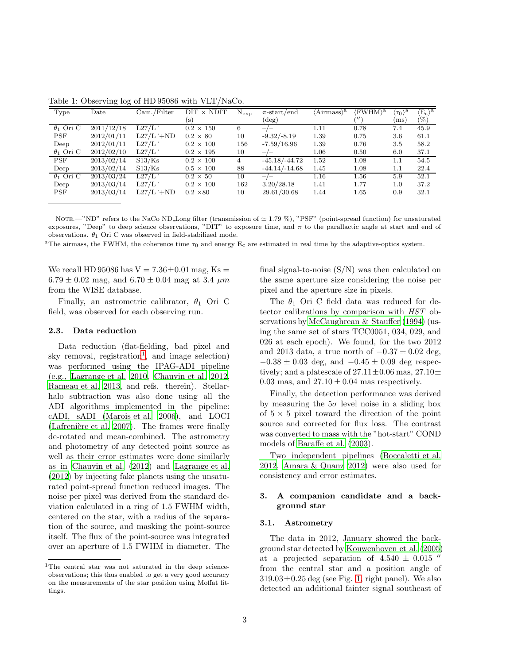| Type             | Date       | Cam./Filter  | $\text{DIT} \times \text{NDIT}$ | $N_{\rm exp}$ | $\pi$ -start/end | 'Airmass <sup>\a</sup> | (FWHM) <sup>a</sup>     | . a<br>$\langle \tau_0 \rangle$ | $\langle E_{\rm c} \rangle^{\rm a}$ |
|------------------|------------|--------------|---------------------------------|---------------|------------------|------------------------|-------------------------|---------------------------------|-------------------------------------|
|                  |            |              | (s)                             |               | $(\deg)$         |                        | $^{\prime\prime\prime}$ | ms)                             | $(\%)$                              |
| $\theta_1$ Ori C | 2011/12/18 | L27/L        | $0.2 \times 150$                | 6             | —                | 1.11                   | 0.78                    | 7.4                             | 45.9                                |
| <b>PSF</b>       | 2012/01/11 | $L27/L$ '+ND | $0.2 \times 80$                 | 10            | $-9.32/-8.19$    | 1.39                   | 0.75                    | 3.6                             | 61.1                                |
| Deep             | 2012/01/11 | L27/L        | $0.2 \times 100$                | 156           | $-7.59/16.96$    | 1.39                   | 0.76                    | 3.5                             | 58.2                                |
| $\theta_1$ Ori C | 2012/02/10 | L27/L        | $0.2 \times 195$                | 10            |                  | 1.06                   | 0.50                    | 6.0                             | 37.1                                |
| <b>PSF</b>       | 2013/02/14 | S13/Ks       | $0.2 \times 100$                | 4             | $-45.18/-44.72$  | 1.52                   | 1.08                    | 1.1                             | 54.5                                |
| Deep             | 2013/02/14 | S13/Ks       | $0.5 \times 100$                | 88            | $-44.14/-14.68$  | 1.45                   | 1.08                    | $1.1\,$                         | 22.4                                |
| $\theta_1$ Ori C | 2013/03/24 | L27/L        | $0.2 \times 50$                 | 10            | $-/-$            | 1.16                   | $1.56\,$                | 5.9                             | 52.1                                |
| Deep             | 2013/03/14 | L27/L        | $0.2 \times 100$                | 162           | 3.20/28.18       | 1.41                   | 1.77                    | 1.0                             | 37.2                                |
| <b>PSF</b>       | 2013/03/14 | $L27/L$ '+ND | $0.2 \times 80$                 | 10            | 29.61/30.68      | 1.44                   | 1.65                    | 0.9                             | 32.1                                |

<span id="page-2-0"></span>Table 1: Observing log of HD 95086 with VLT/NaCo.

NOTE.—"ND" refers to the NaCo ND Long filter (transmission of  $\simeq 1.79\%$ ), "PSF" (point-spread function) for unsaturated exposures, "Deep" to deep science observations, "DIT" to exposure time, and π to the parallactic angle at start and end of observations.  $\theta_1$  Ori C was observed in field-stabilized mode.

<sup>a</sup>The airmass, the FWHM, the coherence time  $\tau_0$  and energy  $E_c$  are estimated in real time by the adaptive-optics system.

We recall HD 95086 has  $V = 7.36 \pm 0.01$  mag, Ks =  $6.79 \pm 0.02$  mag, and  $6.70 \pm 0.04$  mag at 3.4  $\mu$ m from the WISE database.

Finally, an astrometric calibrator,  $\theta_1$  Ori C field, was observed for each observing run.

## 2.3. Data reduction

Data reduction (flat-fielding, bad pixel and sky removal, registration<sup>[1](#page-8-18)</sup>, and image selection) was performed using the IPAG-ADI pipeline (e.g., [Lagrange et al. 2010](#page-8-3), [Chauvin et al. 2012,](#page-7-10) [Rameau et al. 2013](#page-8-17), and refs. therein). Stellarhalo subtraction was also done using all the ADI algorithms implemented in the pipeline: cADI, sADI [\(Marois et al. 2006](#page-8-16)), and LOCI  $(Lafrenière et al. 2007)$ . The frames were finally de-rotated and mean-combined. The astrometry and photometry of any detected point source as well as their error estimates were done similarly as in [Chauvin et al. \(2012](#page-7-10)) and [Lagrange et al.](#page-8-20) [\(2012\)](#page-8-20) by injecting fake planets using the unsaturated point-spread function reduced images. The noise per pixel was derived from the standard deviation calculated in a ring of 1.5 FWHM width, centered on the star, with a radius of the separation of the source, and masking the point-source itself. The flux of the point-source was integrated over an aperture of 1.5 FWHM in diameter. The

final signal-to-noise (S/N) was then calculated on the same aperture size considering the noise per pixel and the aperture size in pixels.

The  $\theta_1$  Ori C field data was reduced for detector calibrations by comparison with HST observations by [McCaughrean & Stauffer \(1994\)](#page-8-21) (using the same set of stars TCC0051, 034, 029, and 026 at each epoch). We found, for the two 2012 and 2013 data, a true north of  $-0.37 \pm 0.02$  deg,  $-0.38 \pm 0.03$  deg, and  $-0.45 \pm 0.09$  deg respectively; and a platescale of  $27.11 \pm 0.06$  mas,  $27.10 \pm 0.06$ 0.03 mas, and  $27.10 \pm 0.04$  mas respectively.

Finally, the detection performance was derived by measuring the  $5\sigma$  level noise in a sliding box of  $5 \times 5$  pixel toward the direction of the point source and corrected for flux loss. The contrast was converted to mass with the "hot-start" COND models of [Baraffe et al. \(2003](#page-7-11)).

Two independent pipelines [\(Boccaletti et al.](#page-7-12) [2012,](#page-7-12) [Amara & Quanz 2012\)](#page-7-13) were also used for consistency and error estimates.

# 3. A companion candidate and a background star

#### 3.1. Astrometry

The data in 2012, January showed the background star detected by [Kouwenhoven et al. \(2005](#page-7-9)) at a projected separation of  $4.540 \pm 0.015$  " from the central star and a position angle of  $319.03\pm0.25$  deg (see Fig. [1,](#page-3-0) right panel). We also detected an additional fainter signal southeast of

<sup>&</sup>lt;sup>1</sup>The central star was not saturated in the deep scienceobservations; this thus enabled to get a very good accuracy on the measurements of the star position using Moffat fittings.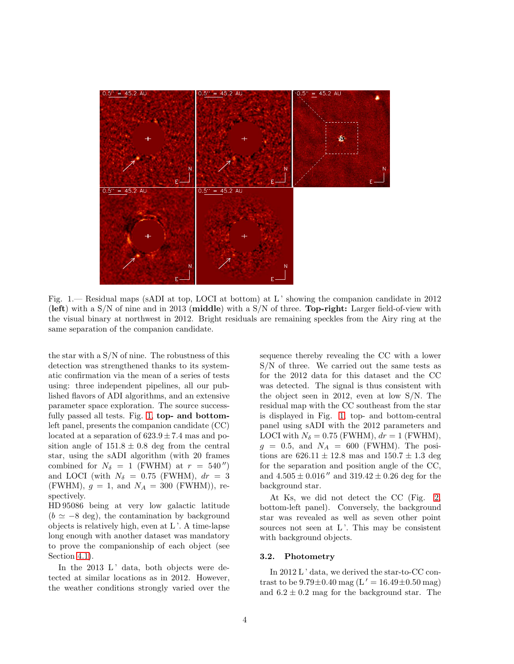

<span id="page-3-0"></span>Fig. 1.— Residual maps (sADI at top, LOCI at bottom) at L ' showing the companion candidate in 2012 (left) with a  $S/N$  of nine and in 2013 (middle) with a  $S/N$  of three. Top-right: Larger field-of-view with the visual binary at northwest in 2012. Bright residuals are remaining speckles from the Airy ring at the same separation of the companion candidate.

the star with a S/N of nine. The robustness of this detection was strengthened thanks to its systematic confirmation via the mean of a series of tests using: three independent pipelines, all our published flavors of ADI algorithms, and an extensive parameter space exploration. The source success-fully passed all tests. Fig. [1,](#page-3-0) top- and bottomleft panel, presents the companion candidate (CC) located at a separation of  $623.9 \pm 7.4$  mas and position angle of  $151.8 \pm 0.8$  deg from the central star, using the sADI algorithm (with 20 frames combined for  $N_{\delta} = 1$  (FWHM) at  $r = 540''$ ) and LOCI (with  $N_{\delta} = 0.75$  (FWHM),  $dr = 3$ (FWHM),  $g = 1$ , and  $N_A = 300$  (FWHM)), respectively.

HD 95086 being at very low galactic latitude  $(b \simeq -8$  deg), the contamination by background objects is relatively high, even at L '. A time-lapse long enough with another dataset was mandatory to prove the companionship of each object (see Section [4.1\)](#page-4-0).

In the  $2013$  L' data, both objects were detected at similar locations as in 2012. However, the weather conditions strongly varied over the sequence thereby revealing the CC with a lower S/N of three. We carried out the same tests as for the 2012 data for this dataset and the CC was detected. The signal is thus consistent with the object seen in 2012, even at low S/N. The residual map with the CC southeast from the star is displayed in Fig. [1,](#page-3-0) top- and bottom-central panel using sADI with the 2012 parameters and LOCI with  $N_{\delta} = 0.75$  (FWHM),  $dr = 1$  (FWHM),  $g = 0.5$ , and  $N_A = 600$  (FWHM). The positions are  $626.11 \pm 12.8$  mas and  $150.7 \pm 1.3$  deg for the separation and position angle of the CC, and  $4.505 \pm 0.016''$  and  $319.42 \pm 0.26$  deg for the background star.

At Ks, we did not detect the CC (Fig. [2,](#page-4-1) bottom-left panel). Conversely, the background star was revealed as well as seven other point sources not seen at L'. This may be consistent with background objects.

# 3.2. Photometry

In 2012 L' data, we derived the star-to-CC contrast to be  $9.79 \pm 0.40$  mag (L' = 16.49 $\pm 0.50$  mag) and  $6.2 \pm 0.2$  mag for the background star. The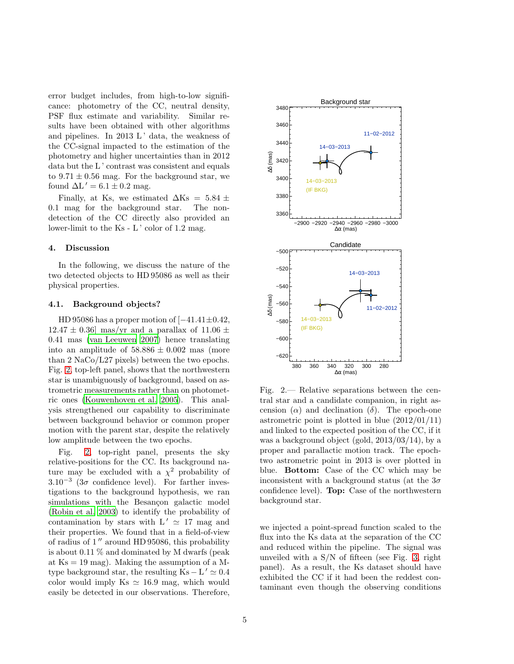error budget includes, from high-to-low significance: photometry of the CC, neutral density, PSF flux estimate and variability. Similar results have been obtained with other algorithms and pipelines. In  $2013 \mathrm{L}$  data, the weakness of the CC-signal impacted to the estimation of the photometry and higher uncertainties than in 2012 data but the L' contrast was consistent and equals to  $9.71 \pm 0.56$  mag. For the background star, we found  $\Delta L' = 6.1 \pm 0.2$  mag.

Finally, at Ks, we estimated  $\Delta$ Ks = 5.84 ± 0.1 mag for the background star. The nondetection of the CC directly also provided an lower-limit to the Ks - L' color of 1.2 mag.

## 4. Discussion

In the following, we discuss the nature of the two detected objects to HD 95086 as well as their physical properties.

## <span id="page-4-0"></span>4.1. Background objects?

HD 95086 has a proper motion of  $[-41.41 \pm 0.42]$ ,  $12.47 \pm 0.36$  mas/yr and a parallax of  $11.06 \pm 1$ 0.41 mas [\(van Leeuwen 2007\)](#page-8-8) hence translating into an amplitude of  $58.886 \pm 0.002$  mas (more than 2 NaCo/L27 pixels) between the two epochs. Fig. [2,](#page-4-1) top-left panel, shows that the northwestern star is unambiguously of background, based on astrometric measurements rather than on photometric ones [\(Kouwenhoven et al. 2005\)](#page-7-9). This analysis strengthened our capability to discriminate between background behavior or common proper motion with the parent star, despite the relatively low amplitude between the two epochs.

Fig. [2,](#page-4-1) top-right panel, presents the sky relative-positions for the CC. Its background nature may be excluded with a  $\chi^2$  probability of  $3.10^{-3}$  (3 $\sigma$  confidence level). For farther investigations to the background hypothesis, we ran simulations with the Besançon galactic model [\(Robin et al. 2003\)](#page-8-22) to identify the probability of contamination by stars with  $L' \approx 17$  mag and their properties. We found that in a field-of-view of radius of 1 ′′ around HD 95086, this probability is about 0.11 % and dominated by M dwarfs (peak at  $\text{Ks} = 19 \text{ mag}$ . Making the assumption of a Mtype background star, the resulting  $\text{Ks} - \text{L}' \simeq 0.4$ color would imply Ks  $\simeq$  16.9 mag, which would easily be detected in our observations. Therefore,



<span id="page-4-1"></span>Fig. 2.— Relative separations between the central star and a candidate companion, in right ascension  $(\alpha)$  and declination  $(\delta)$ . The epoch-one astrometric point is plotted in blue  $(2012/01/11)$ and linked to the expected position of the CC, if it was a background object (gold, 2013/03/14), by a proper and parallactic motion track. The epochtwo astrometric point in 2013 is over plotted in blue. Bottom: Case of the CC which may be inconsistent with a background status (at the  $3\sigma$ confidence level). Top: Case of the northwestern background star.

we injected a point-spread function scaled to the flux into the Ks data at the separation of the CC and reduced within the pipeline. The signal was unveiled with a  $S/N$  of fifteen (see Fig. [3,](#page-5-0) right panel). As a result, the Ks dataset should have exhibited the CC if it had been the reddest contaminant even though the observing conditions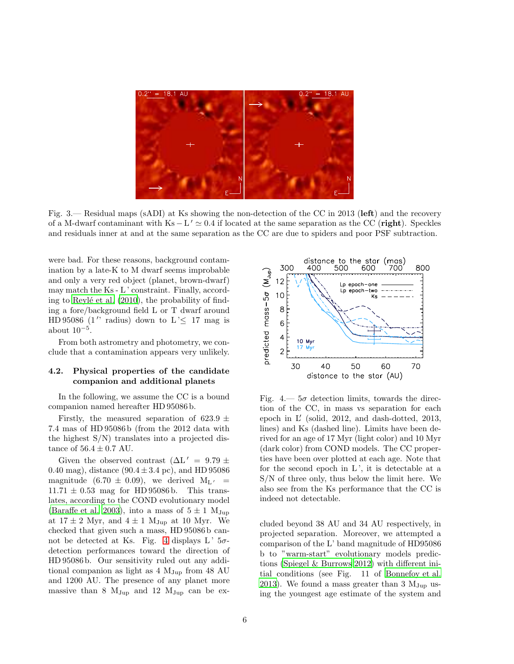

<span id="page-5-0"></span>Fig. 3.— Residual maps (sADI) at Ks showing the non-detection of the CC in 2013 (left) and the recovery of a M-dwarf contaminant with  $Ks - L' \simeq 0.4$  if located at the same separation as the CC (**right**). Speckles and residuals inner at and at the same separation as the CC are due to spiders and poor PSF subtraction.

were bad. For these reasons, background contamination by a late-K to M dwarf seems improbable and only a very red object (planet, brown-dwarf) may match the Ks - L ' constraint. Finally, according to Reylé et al.  $(2010)$ , the probability of finding a fore/background field L or T dwarf around HD 95086  $(1'')$  radius) down to  $L' \leq 17$  mag is about  $10^{-5}$ .

From both astrometry and photometry, we conclude that a contamination appears very unlikely.

# 4.2. Physical properties of the candidate companion and additional planets

In the following, we assume the CC is a bound companion named hereafter HD 95086 b.

Firstly, the measured separation of 623.9  $\pm$ 7.4 mas of HD 95086 b (from the 2012 data with the highest S/N) translates into a projected distance of  $56.4 \pm 0.7$  AU.

Given the observed contrast  $(\Delta L' = 9.79 \pm 1)$ 0.40 mag), distance  $(90.4 \pm 3.4 \text{ pc})$ , and HD 95086 magnitude (6.70  $\pm$  0.09), we derived M<sub>L'</sub> =  $11.71 \pm 0.53$  mag for HD 95086 b. This translates, according to the COND evolutionary model [\(Baraffe et al. 2003\)](#page-7-11), into a mass of  $5 \pm 1$  M<sub>Jup</sub> at  $17 \pm 2$  Myr, and  $4 \pm 1$  M<sub>Jup</sub> at 10 Myr. We checked that given such a mass, HD 95086 b can-not be detected at Ks. Fig. [4](#page-5-1) displays  $L'$  5 $\sigma$ detection performances toward the direction of HD 95086 b. Our sensitivity ruled out any additional companion as light as  $4 M_{Jup}$  from  $48 AU$ and 1200 AU. The presence of any planet more massive than 8  $M_{Jup}$  and 12  $M_{Jup}$  can be ex-



<span id="page-5-1"></span>Fig.  $4 - 5\sigma$  detection limits, towards the direction of the CC, in mass vs separation for each epoch in L′ (solid, 2012, and dash-dotted, 2013, lines) and Ks (dashed line). Limits have been derived for an age of 17 Myr (light color) and 10 Myr (dark color) from COND models. The CC properties have been over plotted at each age. Note that for the second epoch in  $L'$ , it is detectable at a S/N of three only, thus below the limit here. We also see from the Ks performance that the CC is indeed not detectable.

cluded beyond 38 AU and 34 AU respectively, in projected separation. Moreover, we attempted a comparison of the L' band magnitude of HD95086 b to "warm-start" evolutionary models predictions [\(Spiegel & Burrows 2012](#page-8-23)) with different initial conditions (see Fig. 11 of [Bonnefoy et al.](#page-7-15) [2013\)](#page-7-15). We found a mass greater than 3  $M_{Jup}$  using the youngest age estimate of the system and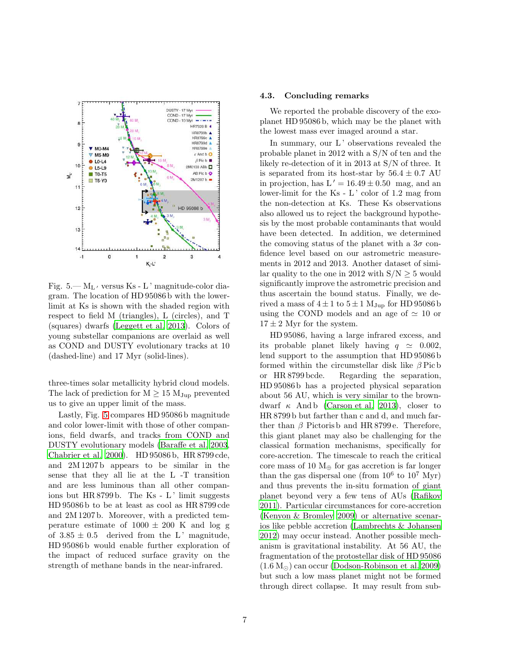

<span id="page-6-0"></span>Fig. 5.— M<sup>L</sup> ′ versus Ks - L ' magnitude-color diagram. The location of HD 95086 b with the lowerlimit at Ks is shown with the shaded region with respect to field M (triangles), L (circles), and T (squares) dwarfs [\(Leggett et al. 2013](#page-8-24)). Colors of young substellar companions are overlaid as well as COND and DUSTY evolutionary tracks at 10 (dashed-line) and 17 Myr (solid-lines).

three-times solar metallicity hybrid cloud models. The lack of prediction for  $M \geq 15 M_{Jup}$  prevented us to give an upper limit of the mass.

Lastly, Fig. [5](#page-6-0) compares HD 95086 b magnitude and color lower-limit with those of other companions, field dwarfs, and tracks from COND and DUSTY evolutionary models [\(Baraffe et al. 2003,](#page-7-11) [Chabrier et al. 2000](#page-7-16)). HD 95086 b, HR 8799 cde, and 2M 1207 b appears to be similar in the sense that they all lie at the L -T transition and are less luminous than all other companions but  $HR 8799 b$ . The Ks - L' limit suggests HD 95086 b to be at least as cool as HR 8799 cde and 2M 1207 b. Moreover, with a predicted temperature estimate of  $1000 \pm 200$  K and log g of  $3.85 \pm 0.5$  derived from the L' magnitude, HD 95086 b would enable further exploration of the impact of reduced surface gravity on the strength of methane bands in the near-infrared.

### 4.3. Concluding remarks

We reported the probable discovery of the exoplanet HD 95086 b, which may be the planet with the lowest mass ever imaged around a star.

In summary, our L' observations revealed the probable planet in 2012 with a S/N of ten and the likely re-detection of it in 2013 at S/N of three. It is separated from its host-star by  $56.4 \pm 0.7$  AU in projection, has  $L' = 16.49 \pm 0.50$  mag, and an lower-limit for the  $Ks - L'$  color of 1.2 mag from the non-detection at Ks. These Ks observations also allowed us to reject the background hypothesis by the most probable contaminants that would have been detected. In addition, we determined the comoving status of the planet with a  $3\sigma$  confidence level based on our astrometric measurements in 2012 and 2013. Another dataset of similar quality to the one in 2012 with  $S/N \geq 5$  would significantly improve the astrometric precision and thus ascertain the bound status. Finally, we derived a mass of  $4 \pm 1$  to  $5 \pm 1$  M<sub>Jup</sub> for HD 95086 b using the COND models and an age of  $\simeq$  10 or  $17 \pm 2$  Myr for the system.

HD 95086, having a large infrared excess, and its probable planet likely having  $q \approx 0.002$ , lend support to the assumption that HD 95086 b formed within the circumstellar disk like  $\beta$  Pic b or HR 8799 bcde. Regarding the separation, HD 95086 b has a projected physical separation about 56 AU, which is very similar to the browndwarf  $\kappa$  And b [\(Carson et al. 2013\)](#page-7-17), closer to HR 8799 b but farther than c and d, and much farther than  $\beta$  Pictoris b and HR 8799 e. Therefore, this giant planet may also be challenging for the classical formation mechanisms, specifically for core-accretion. The timescale to reach the critical core mass of 10  $M_{\oplus}$  for gas accretion is far longer than the gas dispersal one (from  $10^6$  to  $10^7$  Myr) and thus prevents the in-situ formation of giant planet beyond very a few tens of AUs [\(Rafikov](#page-8-25) [2011\)](#page-8-25). Particular circumstances for core-accretion [\(Kenyon & Bromley 2009](#page-7-18)) or alternative scenarios like pebble accretion [\(Lambrechts & Johansen](#page-8-26) [2012\)](#page-8-26) may occur instead. Another possible mechanism is gravitational instability. At 56 AU, the fragmentation of the protostellar disk of HD 95086  $(1.6 M<sub>©</sub>)$  can occur [\(Dodson-Robinson et al. 2009\)](#page-7-19) but such a low mass planet might not be formed through direct collapse. It may result from sub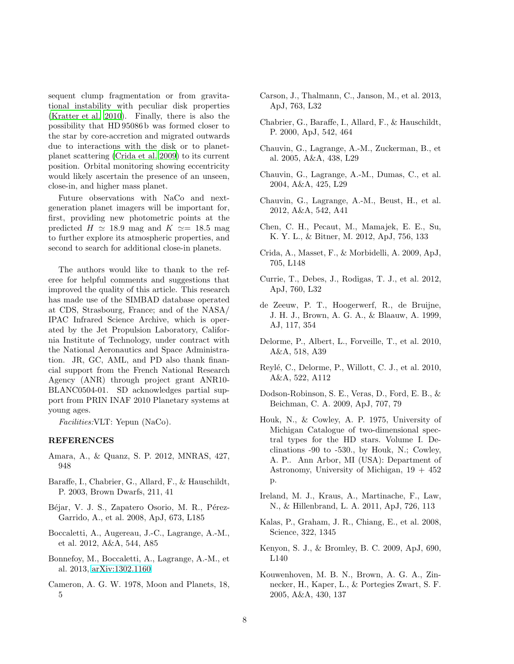sequent clump fragmentation or from gravitational instability with peculiar disk properties [\(Kratter et al. 2010\)](#page-8-27). Finally, there is also the possibility that HD 95086 b was formed closer to the star by core-accretion and migrated outwards due to interactions with the disk or to planetplanet scattering [\(Crida et al. 2009\)](#page-7-20) to its current position. Orbital monitoring showing eccentricity would likely ascertain the presence of an unseen, close-in, and higher mass planet.

Future observations with NaCo and nextgeneration planet imagers will be important for, first, providing new photometric points at the predicted  $H \simeq 18.9$  mag and  $K \simeq 18.5$  mag to further explore its atmospheric properties, and second to search for additional close-in planets.

The authors would like to thank to the referee for helpful comments and suggestions that improved the quality of this article. This research has made use of the SIMBAD database operated at CDS, Strasbourg, France; and of the NASA/ IPAC Infrared Science Archive, which is operated by the Jet Propulsion Laboratory, California Institute of Technology, under contract with the National Aeronautics and Space Administration. JR, GC, AML, and PD also thank financial support from the French National Research Agency (ANR) through project grant ANR10- BLANC0504-01. SD acknowledges partial support from PRIN INAF 2010 Planetary systems at young ages.

Facilities:VLT: Yepun (NaCo).

# REFERENCES

- <span id="page-7-13"></span>Amara, A., & Quanz, S. P. 2012, MNRAS, 427, 948
- <span id="page-7-11"></span>Baraffe, I., Chabrier, G., Allard, F., & Hauschildt, P. 2003, Brown Dwarfs, 211, 41
- <span id="page-7-1"></span>Béjar, V. J. S., Zapatero Osorio, M. R., Pérez-Garrido, A., et al. 2008, ApJ, 673, L185
- <span id="page-7-12"></span>Boccaletti, A., Augereau, J.-C., Lagrange, A.-M., et al. 2012, A&A, 544, A85
- <span id="page-7-15"></span>Bonnefoy, M., Boccaletti, A., Lagrange, A.-M., et al. 2013, [arXiv:1302.1160](http://arxiv.org/abs/1302.1160)
- <span id="page-7-3"></span>Cameron, A. G. W. 1978, Moon and Planets, 18, 5
- <span id="page-7-17"></span>Carson, J., Thalmann, C., Janson, M., et al. 2013, ApJ, 763, L32
- <span id="page-7-16"></span>Chabrier, G., Baraffe, I., Allard, F., & Hauschildt, P. 2000, ApJ, 542, 464
- <span id="page-7-0"></span>Chauvin, G., Lagrange, A.-M., Zuckerman, B., et al. 2005, A&A, 438, L29
- Chauvin, G., Lagrange, A.-M., Dumas, C., et al. 2004, A&A, 425, L29
- <span id="page-7-10"></span>Chauvin, G., Lagrange, A.-M., Beust, H., et al. 2012, A&A, 542, A41
- <span id="page-7-8"></span>Chen, C. H., Pecaut, M., Mamajek, E. E., Su, K. Y. L., & Bitner, M. 2012, ApJ, 756, 133
- <span id="page-7-20"></span>Crida, A., Masset, F., & Morbidelli, A. 2009, ApJ, 705, L148
- <span id="page-7-5"></span>Currie, T., Debes, J., Rodigas, T. J., et al. 2012, ApJ, 760, L32
- <span id="page-7-6"></span>de Zeeuw, P. T., Hoogerwerf, R., de Bruijne, J. H. J., Brown, A. G. A., & Blaauw, A. 1999, AJ, 117, 354
- Delorme, P., Albert, L., Forveille, T., et al. 2010, A&A, 518, A39
- <span id="page-7-14"></span>Reylé, C., Delorme, P., Willott, C. J., et al. 2010, A&A, 522, A112
- <span id="page-7-19"></span>Dodson-Robinson, S. E., Veras, D., Ford, E. B., & Beichman, C. A. 2009, ApJ, 707, 79
- <span id="page-7-7"></span>Houk, N., & Cowley, A. P. 1975, University of Michigan Catalogue of two-dimensional spectral types for the HD stars. Volume I. Declinations -90 to -530., by Houk, N.; Cowley, A. P.. Ann Arbor, MI (USA): Department of Astronomy, University of Michigan,  $19 + 452$ p.
- <span id="page-7-2"></span>Ireland, M. J., Kraus, A., Martinache, F., Law, N., & Hillenbrand, L. A. 2011, ApJ, 726, 113
- <span id="page-7-4"></span>Kalas, P., Graham, J. R., Chiang, E., et al. 2008, Science, 322, 1345
- <span id="page-7-18"></span>Kenyon, S. J., & Bromley, B. C. 2009, ApJ, 690, L140
- <span id="page-7-9"></span>Kouwenhoven, M. B. N., Brown, A. G. A., Zinnecker, H., Kaper, L., & Portegies Zwart, S. F. 2005, A&A, 430, 137